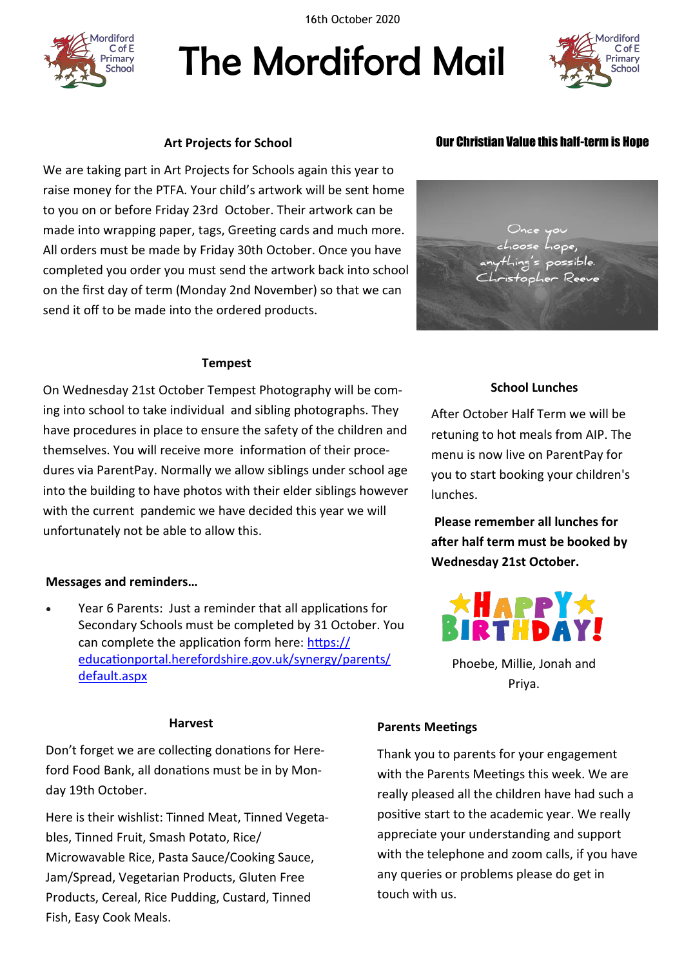16th October 2020



# The Mordiford Mail



# **Art Projects for School**

We are taking part in Art Projects for Schools again this year to raise money for the PTFA. Your child's artwork will be sent home to you on or before Friday 23rd October. Their artwork can be made into wrapping paper, tags, Greeting cards and much more. All orders must be made by Friday 30th October. Once you have completed you order you must send the artwork back into school on the first day of term (Monday 2nd November) so that we can send it off to be made into the ordered products.

#### **Tempest**

On Wednesday 21st October Tempest Photography will be coming into school to take individual and sibling photographs. They have procedures in place to ensure the safety of the children and themselves. You will receive more information of their procedures via ParentPay. Normally we allow siblings under school age into the building to have photos with their elder siblings however with the current pandemic we have decided this year we will unfortunately not be able to allow this.

# **Messages and reminders…**

 Year 6 Parents: Just a reminder that all applications for Secondary Schools must be completed by 31 October. You can complete the application form here: [https://](https://educationportal.herefordshire.gov.uk/synergy/parents/default.aspx) [educationportal.herefordshire.gov.uk/synergy/parents/](https://educationportal.herefordshire.gov.uk/synergy/parents/default.aspx) [default.aspx](https://educationportal.herefordshire.gov.uk/synergy/parents/default.aspx)

Don't forget we are collecting donations for Hereford Food Bank, all donations must be in by Monday 19th October.

Here is their wishlist: Tinned Meat, Tinned Vegetables, Tinned Fruit, Smash Potato, Rice/ Microwavable Rice, Pasta Sauce/Cooking Sauce, Jam/Spread, Vegetarian Products, Gluten Free Products, Cereal, Rice Pudding, Custard, Tinned Fish, Easy Cook Meals.

# Our Christian Value this half-term is Hope

# **School Lunches**

After October Half Term we will be retuning to hot meals from AIP. The menu is now live on ParentPay for you to start booking your children's lunches.

**Please remember all lunches for after half term must be booked by Wednesday 21st October.**



Phoebe, Millie, Jonah and Priya.

#### **Harvest**

# **Parents Meetings**

Thank you to parents for your engagement with the Parents Meetings this week. We are really pleased all the children have had such a positive start to the academic year. We really appreciate your understanding and support with the telephone and zoom calls, if you have any queries or problems please do get in touch with us.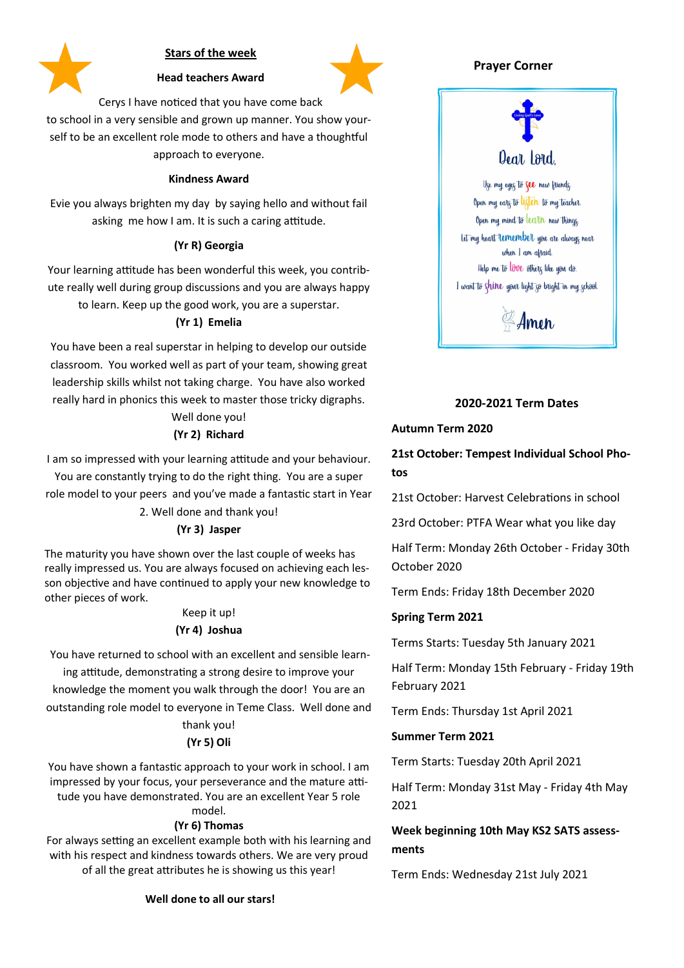

# **Stars of the week**



**Head teachers Award**

Cerys I have noticed that you have come back

to school in a very sensible and grown up manner. You show yourself to be an excellent role mode to others and have a thoughtful approach to everyone.

#### **Kindness Award**

Evie you always brighten my day by saying hello and without fail asking me how I am. It is such a caring attitude.

#### **(Yr R) Georgia**

Your learning attitude has been wonderful this week, you contribute really well during group discussions and you are always happy to learn. Keep up the good work, you are a superstar.

# **(Yr 1) Emelia**

You have been a real superstar in helping to develop our outside classroom. You worked well as part of your team, showing great leadership skills whilst not taking charge. You have also worked really hard in phonics this week to master those tricky digraphs.

#### Well done you! **(Yr 2) Richard**

I am so impressed with your learning attitude and your behaviour.

You are constantly trying to do the right thing. You are a super role model to your peers and you've made a fantastic start in Year

# 2. Well done and thank you!

#### **(Yr 3) Jasper**

The maturity you have shown over the last couple of weeks has really impressed us. You are always focused on achieving each lesson objective and have continued to apply your new knowledge to other pieces of work.

#### Keep it up!

#### **(Yr 4) Joshua**

You have returned to school with an excellent and sensible learning attitude, demonstrating a strong desire to improve your

knowledge the moment you walk through the door! You are an outstanding role model to everyone in Teme Class. Well done and

# thank you!

# **(Yr 5) Oli**

You have shown a fantastic approach to your work in school. I am impressed by your focus, your perseverance and the mature attitude you have demonstrated. You are an excellent Year 5 role model.

# **(Yr 6) Thomas**

For always setting an excellent example both with his learning and with his respect and kindness towards others. We are very proud of all the great attributes he is showing us this year!

# **Prayer Corner**



# **2020-2021 Term Dates**

#### **Autumn Term 2020**

**21st October: Tempest Individual School Photos**

21st October: Harvest Celebrations in school

23rd October: PTFA Wear what you like day

Half Term: Monday 26th October - Friday 30th October 2020

Term Ends: Friday 18th December 2020

# **Spring Term 2021**

Terms Starts: Tuesday 5th January 2021

Half Term: Monday 15th February - Friday 19th February 2021

Term Ends: Thursday 1st April 2021

#### **Summer Term 2021**

Term Starts: Tuesday 20th April 2021

Half Term: Monday 31st May - Friday 4th May 2021

# **Week beginning 10th May KS2 SATS assessments**

Term Ends: Wednesday 21st July 2021